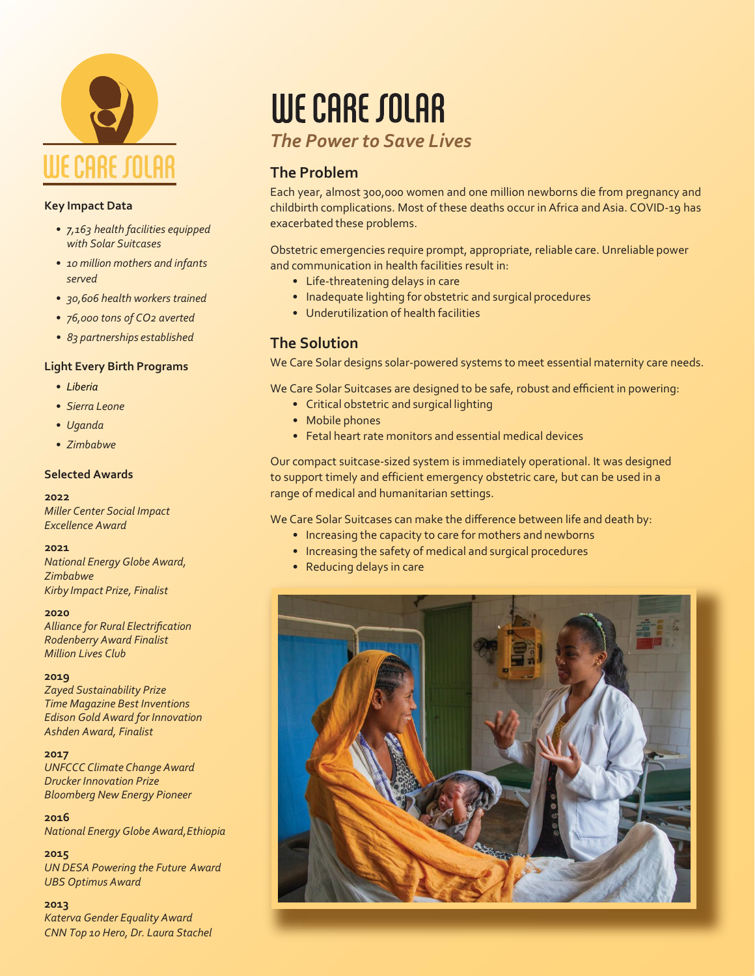

## **Key Impact Data**

- *• 7,163 health facilities equipped with Solar Suitcases*
- *• 10 million mothers and infants served*
- *• 30,606 health workers trained*
- *• 76,000 tons of CO2 averted*
- *• 83 partnerships established*

## **Light Every Birth Programs**

- *• Liberia*
- *• Sierra Leone*
- *• Uganda*
- *• Zimbabwe*

## **Selected Awards**

### **2022**

*Miller Center Social Impact Excellence Award*

### **2021**

*National Energy Globe Award, Zimbabwe Kirby Impact Prize, Finalist*

#### **2020**

*Alliance for Rural Electrification Rodenberry Award Finalist Million Lives Club*

### **2019**

*Zayed Sustainability Prize Time Magazine Best Inventions Edison Gold Award for Innovation Ashden Award, Finalist*

### **2017**

*UNFCCC Climate Change Award Drucker Innovation Prize Bloomberg New Energy Pioneer*

**2016** *National Energy Globe Award,Ethiopia*

**2015** *UN DESA Powering the Future Award UBS Optimus Award*

### **2013**

*Katerva Gender Equality Award CNN Top 10 Hero, Dr. Laura Stachel*

# WE CARE SOLAR

## *The Power to Save Lives*

## **The Problem**

Each year, almost 300,000 women and one million newborns die from pregnancy and childbirth complications. Most of these deaths occur in Africa and Asia. COVID-19 has exacerbated these problems.

Obstetric emergencies require prompt, appropriate, reliable care. Unreliable power and communication in health facilities result in:

- Life-threatening delays in care
- Inadequate lighting for obstetric and surgical procedures
- Underutilization of health facilities

## **The Solution**

We Care Solar designs solar-powered systems to meet essential maternity care needs.

We Care Solar Suitcases are designed to be safe, robust and efficient in powering:

- Critical obstetric and surgical lighting
- Mobile phones
- Fetal heart rate monitors and essential medical devices

Our compact suitcase-sized system is immediately operational. It was designed to support timely and efficient emergency obstetric care, but can be used in a range of medical and humanitarian settings.

We Care Solar Suitcases can make the difference between life and death by:

- Increasing the capacity to care for mothers and newborns
- Increasing the safety of medical and surgical procedures
- Reducing delays in care